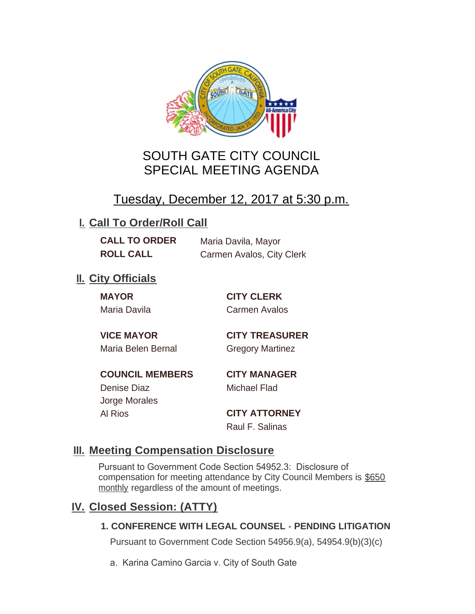

# SOUTH GATE CITY COUNCIL SPECIAL MEETING AGENDA

# Tuesday, December 12, 2017 at 5:30 p.m.

# **I. Call To Order/Roll Call**

**CALL TO ORDER** Maria Davila, Mayor **ROLL CALL** Carmen Avalos, City Clerk

# **II.** City Officials

**MAYOR CITY CLERK** Maria Davila Carmen Avalos

Maria Belen Bernal Gregory Martinez

**VICE MAYOR CITY TREASURER**

**COUNCIL MEMBERS CITY MANAGER** Denise Diaz Michael Flad Jorge Morales

Al Rios **CITY ATTORNEY**

Raul F. Salinas

### **Meeting Compensation Disclosure III.**

Pursuant to Government Code Section 54952.3: Disclosure of compensation for meeting attendance by City Council Members is \$650 monthly regardless of the amount of meetings.

### **Closed Session: (ATTY) IV.**

#### **1. CONFERENCE WITH LEGAL COUNSEL - PENDING LITIGATION**

Pursuant to Government Code Section 54956.9(a), 54954.9(b)(3)(c)

a. Karina Camino Garcia v. City of South Gate